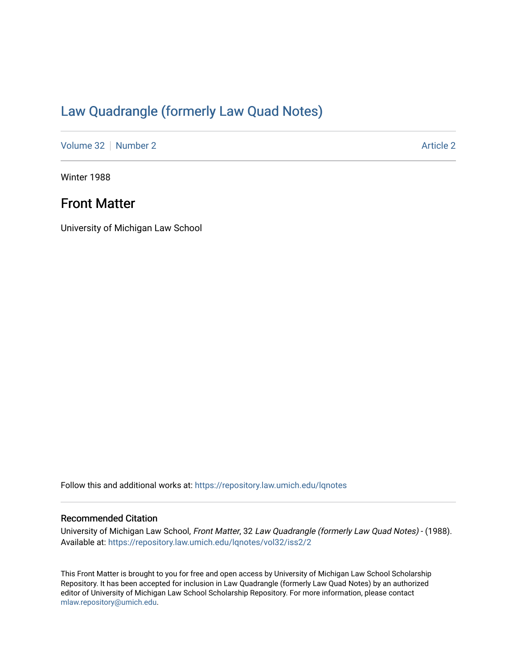# [Law Quadrangle \(formerly Law Quad Notes\)](https://repository.law.umich.edu/lqnotes)

[Volume 32](https://repository.law.umich.edu/lqnotes/vol32) [Number 2](https://repository.law.umich.edu/lqnotes/vol32/iss2) [Article 2](https://repository.law.umich.edu/lqnotes/vol32/iss2/2) Article 2 Article 2 Article 2 Article 2 Article 2 Article 2

Winter 1988

## Front Matter

University of Michigan Law School

Follow this and additional works at: [https://repository.law.umich.edu/lqnotes](https://repository.law.umich.edu/lqnotes?utm_source=repository.law.umich.edu%2Flqnotes%2Fvol32%2Fiss2%2F2&utm_medium=PDF&utm_campaign=PDFCoverPages) 

## Recommended Citation

University of Michigan Law School, Front Matter, 32 Law Quadrangle (formerly Law Quad Notes) - (1988). Available at: [https://repository.law.umich.edu/lqnotes/vol32/iss2/2](https://repository.law.umich.edu/lqnotes/vol32/iss2/2?utm_source=repository.law.umich.edu%2Flqnotes%2Fvol32%2Fiss2%2F2&utm_medium=PDF&utm_campaign=PDFCoverPages) 

This Front Matter is brought to you for free and open access by University of Michigan Law School Scholarship Repository. It has been accepted for inclusion in Law Quadrangle (formerly Law Quad Notes) by an authorized editor of University of Michigan Law School Scholarship Repository. For more information, please contact [mlaw.repository@umich.edu.](mailto:mlaw.repository@umich.edu)